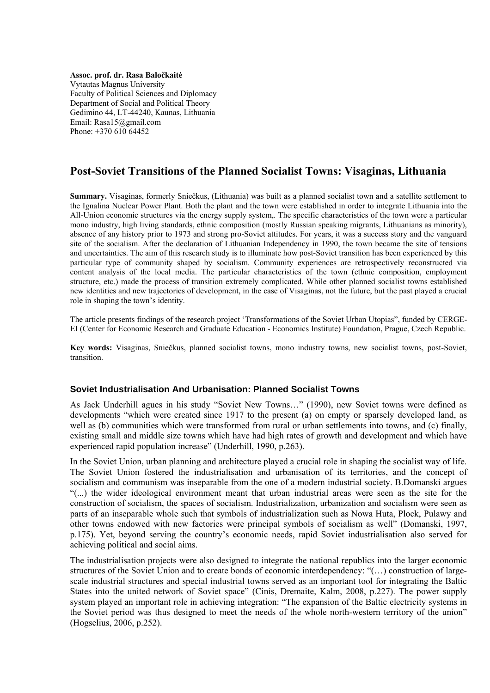**Assoc. prof. dr. Rasa Baločkaitė** Vytautas Magnus University Faculty of Political Sciences and Diplomacy Department of Social and Political Theory Gedimino 44, LT-44240, Kaunas, Lithuania Email: Rasa15@gmail.com Phone: +370 610 64452

# **Post-Soviet Transitions of the Planned Socialist Towns: Visaginas, Lithuania**

**Summary.** Visaginas, formerly Sniečkus, (Lithuania) was built as a planned socialist town and a satellite settlement to the Ignalina Nuclear Power Plant. Both the plant and the town were established in order to integrate Lithuania into the All-Union economic structures via the energy supply system,. The specific characteristics of the town were a particular mono industry, high living standards, ethnic composition (mostly Russian speaking migrants, Lithuanians as minority), absence of any history prior to 1973 and strong pro-Soviet attitudes. For years, it was a success story and the vanguard site of the socialism. After the declaration of Lithuanian Independency in 1990, the town became the site of tensions and uncertainties. The aim of this research study is to illuminate how post-Soviet transition has been experienced by this particular type of community shaped by socialism. Community experiences are retrospectively reconstructed via content analysis of the local media. The particular characteristics of the town (ethnic composition, employment structure, etc.) made the process of transition extremely complicated. While other planned socialist towns established new identities and new trajectories of development, in the case of Visaginas, not the future, but the past played a crucial role in shaping the town's identity.

The article presents findings of the research project 'Transformations of the Soviet Urban Utopias", funded by CERGE-EI (Center for Economic Research and Graduate Education - Economics Institute) Foundation, Prague, Czech Republic.

**Key words:** Visaginas, Sniečkus, planned socialist towns, mono industry towns, new socialist towns, post-Soviet, transition.

#### **Soviet Industrialisation And Urbanisation: Planned Socialist Towns**

As Jack Underhill agues in his study "Soviet New Towns…" (1990), new Soviet towns were defined as developments "which were created since 1917 to the present (a) on empty or sparsely developed land, as well as (b) communities which were transformed from rural or urban settlements into towns, and (c) finally, existing small and middle size towns which have had high rates of growth and development and which have experienced rapid population increase" (Underhill, 1990, p.263).

In the Soviet Union, urban planning and architecture played a crucial role in shaping the socialist way of life. The Soviet Union fostered the industrialisation and urbanisation of its territories, and the concept of socialism and communism was inseparable from the one of a modern industrial society. B.Domanski argues "(...) the wider ideological environment meant that urban industrial areas were seen as the site for the construction of socialism, the spaces of socialism. Industrialization, urbanization and socialism were seen as parts of an inseparable whole such that symbols of industrialization such as Nowa Huta, Plock, Pulawy and other towns endowed with new factories were principal symbols of socialism as well" (Domanski, 1997, p.175). Yet, beyond serving the country's economic needs, rapid Soviet industrialisation also served for achieving political and social aims.

The industrialisation projects were also designed to integrate the national republics into the larger economic structures of the Soviet Union and to create bonds of economic interdependency: "(…) construction of largescale industrial structures and special industrial towns served as an important tool for integrating the Baltic States into the united network of Soviet space" (Cinis, Dremaite, Kalm, 2008, p.227). The power supply system played an important role in achieving integration: "The expansion of the Baltic electricity systems in the Soviet period was thus designed to meet the needs of the whole north-western territory of the union" (Hogselius, 2006, p.252).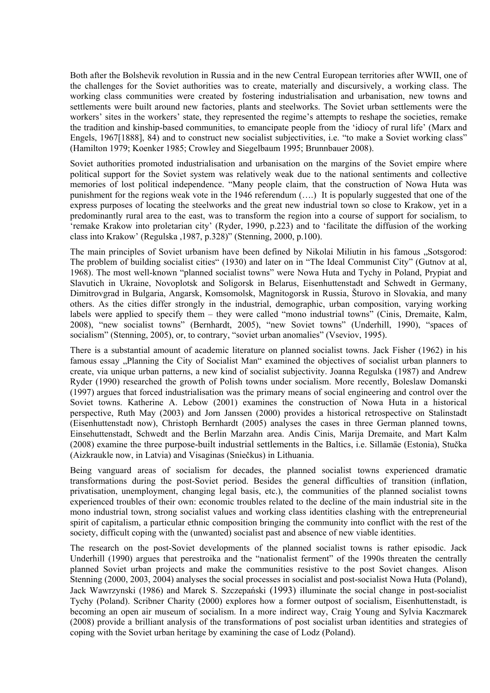Both after the Bolshevik revolution in Russia and in the new Central European territories after WWII, one of the challenges for the Soviet authorities was to create, materially and discursively, a working class. The working class communities were created by fostering industrialisation and urbanisation, new towns and settlements were built around new factories, plants and steelworks. The Soviet urban settlements were the workers' sites in the workers' state, they represented the regime's attempts to reshape the societies, remake the tradition and kinship-based communities, to emancipate people from the 'idiocy of rural life' (Marx and Engels, 1967[1888], 84) and to construct new socialist subjectivities, i.e. "to make a Soviet working class" (Hamilton 1979; Koenker 1985; Crowley and Siegelbaum 1995; Brunnbauer 2008).

Soviet authorities promoted industrialisation and urbanisation on the margins of the Soviet empire where political support for the Soviet system was relatively weak due to the national sentiments and collective memories of lost political independence. "Many people claim, that the construction of Nowa Huta was punishment for the regions weak vote in the 1946 referendum (….) It is popularly suggested that one of the express purposes of locating the steelworks and the great new industrial town so close to Krakow, yet in a predominantly rural area to the east, was to transform the region into a course of support for socialism, to 'remake Krakow into proletarian city' (Ryder, 1990, p.223) and to 'facilitate the diffusion of the working class into Krakow' (Regulska ,1987, p.328)" (Stenning, 2000, p.100).

The main principles of Soviet urbanism have been defined by Nikolai Miliutin in his famous . Sotsgorod: The problem of building socialist cities" (1930) and later on in "The Ideal Communist City" (Gutnov at al, 1968). The most well-known "planned socialist towns" were Nowa Huta and Tychy in Poland, Prypiat and Slavutich in Ukraine, Novoplotsk and Soligorsk in Belarus, Eisenhuttenstadt and Schwedt in Germany, Dimitrovgrad in Bulgaria, Angarsk, Komsomolsk, Magnitogorsk in Russia, Šturovo in Slovakia, and many others. As the cities differ strongly in the industrial, demographic, urban composition, varying working labels were applied to specify them – they were called "mono industrial towns" (Cinis, Dremaite, Kalm, 2008), "new socialist towns" (Bernhardt, 2005), "new Soviet towns" (Underhill, 1990), "spaces of socialism" (Stenning, 2005), or, to contrary, "soviet urban anomalies" (Vseviov, 1995).

There is a substantial amount of academic literature on planned socialist towns. Jack Fisher (1962) in his famous essay "Planning the City of Socialist Man" examined the objectives of socialist urban planners to create, via unique urban patterns, a new kind of socialist subjectivity. Joanna Regulska (1987) and Andrew Ryder (1990) researched the growth of Polish towns under socialism. More recently, Boleslaw Domanski (1997) argues that forced industrialisation was the primary means of social engineering and control over the Soviet towns. Katherine A. Lebow (2001) examines the construction of Nowa Huta in a historical perspective, Ruth May (2003) and Jorn Janssen (2000) provides a historical retrospective on Stalinstadt (Eisenhuttenstadt now), Christoph Bernhardt (2005) analyses the cases in three German planned towns, Einsehuttenstadt, Schwedt and the Berlin Marzahn area. Andis Cinis, Marija Dremaite, and Mart Kalm (2008) examine the three purpose-built industrial settlements in the Baltics, i.e. Sillamäe (Estonia), Stučka (Aizkraukle now, in Latvia) and Visaginas (Sniečkus) in Lithuania.

Being vanguard areas of socialism for decades, the planned socialist towns experienced dramatic transformations during the post-Soviet period. Besides the general difficulties of transition (inflation, privatisation, unemployment, changing legal basis, etc.), the communities of the planned socialist towns experienced troubles of their own: economic troubles related to the decline of the main industrial site in the mono industrial town, strong socialist values and working class identities clashing with the entrepreneurial spirit of capitalism, a particular ethnic composition bringing the community into conflict with the rest of the society, difficult coping with the (unwanted) socialist past and absence of new viable identities.

The research on the post-Soviet developments of the planned socialist towns is rather episodic. Jack Underhill (1990) argues that perestroika and the "nationalist ferment" of the 1990s threaten the centrally planned Soviet urban projects and make the communities resistive to the post Soviet changes. Alison Stenning (2000, 2003, 2004) analyses the social processes in socialist and post-socialist Nowa Huta (Poland), Jack Wawrzynski (1986) and Marek S. Szczepański (1993) illuminate the social change in post-socialist Tychy (Poland). Scribner Charity (2000) explores how a former outpost of socialism, Eisenhuttenstadt, is becoming an open air museum of socialism. In a more indirect way, Craig Young and Sylvia Kaczmarek (2008) provide a brilliant analysis of the transformations of post socialist urban identities and strategies of coping with the Soviet urban heritage by examining the case of Lodz (Poland).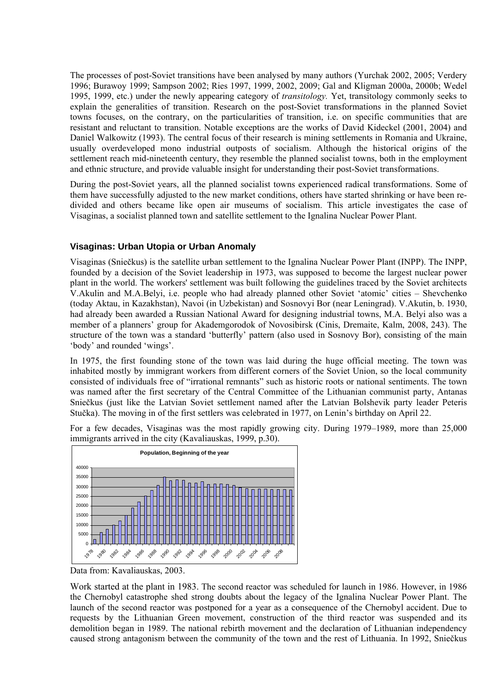The processes of post-Soviet transitions have been analysed by many authors (Yurchak 2002, 2005; Verdery 1996; Burawoy 1999; Sampson 2002; Ries 1997, 1999, 2002, 2009; Gal and Kligman 2000a, 2000b; Wedel 1995, 1999, etc.) under the newly appearing category of *transitology.* Yet, transitology commonly seeks to explain the generalities of transition. Research on the post-Soviet transformations in the planned Soviet towns focuses, on the contrary, on the particularities of transition, i.e. on specific communities that are resistant and reluctant to transition. Notable exceptions are the works of David Kideckel (2001, 2004) and Daniel Walkowitz (1993). The central focus of their research is mining settlements in Romania and Ukraine, usually overdeveloped mono industrial outposts of socialism. Although the historical origins of the settlement reach mid-nineteenth century, they resemble the planned socialist towns, both in the employment and ethnic structure, and provide valuable insight for understanding their post-Soviet transformations.

During the post-Soviet years, all the planned socialist towns experienced radical transformations. Some of them have successfully adjusted to the new market conditions, others have started shrinking or have been redivided and others became like open air museums of socialism. This article investigates the case of Visaginas, a socialist planned town and satellite settlement to the Ignalina Nuclear Power Plant.

## **Visaginas: Urban Utopia or Urban Anomaly**

Visaginas (Sniečkus) is the satellite urban settlement to the Ignalina Nuclear Power Plant (INPP). The INPP, founded by a decision of the Soviet leadership in 1973, was supposed to become the largest nuclear power plant in the world. The workers' settlement was built following the guidelines traced by the Soviet architects V.Akulin and M.A.Belyi, i.e. people who had already planned other Soviet 'atomic' cities – Shevchenko (today Aktau, in Kazakhstan), Navoi (in Uzbekistan) and Sosnovyi Bor (near Leningrad). V.Akutin, b. 1930, had already been awarded a Russian National Award for designing industrial towns, M.A. Belyi also was a member of a planners' group for Akademgorodok of Novosibirsk (Cinis, Dremaite, Kalm, 2008, 243). The structure of the town was a standard 'butterfly' pattern (also used in Sosnovy Bor), consisting of the main 'body' and rounded 'wings'.

In 1975, the first founding stone of the town was laid during the huge official meeting. The town was inhabited mostly by immigrant workers from different corners of the Soviet Union, so the local community consisted of individuals free of "irrational remnants" such as historic roots or national sentiments. The town was named after the first secretary of the Central Committee of the Lithuanian communist party, Antanas Sniečkus (just like the Latvian Soviet settlement named after the Latvian Bolshevik party leader Peteris Stučka). The moving in of the first settlers was celebrated in 1977, on Lenin's birthday on April 22.



For a few decades, Visaginas was the most rapidly growing city. During 1979–1989, more than 25,000 immigrants arrived in the city (Kavaliauskas, 1999, p.30).

Data from: Kavaliauskas, 2003.

Work started at the plant in 1983. The second reactor was scheduled for launch in 1986. However, in 1986 the Chernobyl catastrophe shed strong doubts about the legacy of the Ignalina Nuclear Power Plant. The launch of the second reactor was postponed for a year as a consequence of the Chernobyl accident. Due to requests by the Lithuanian Green movement, construction of the third reactor was suspended and its demolition began in 1989. The national rebirth movement and the declaration of Lithuanian independency caused strong antagonism between the community of the town and the rest of Lithuania. In 1992, Sniečkus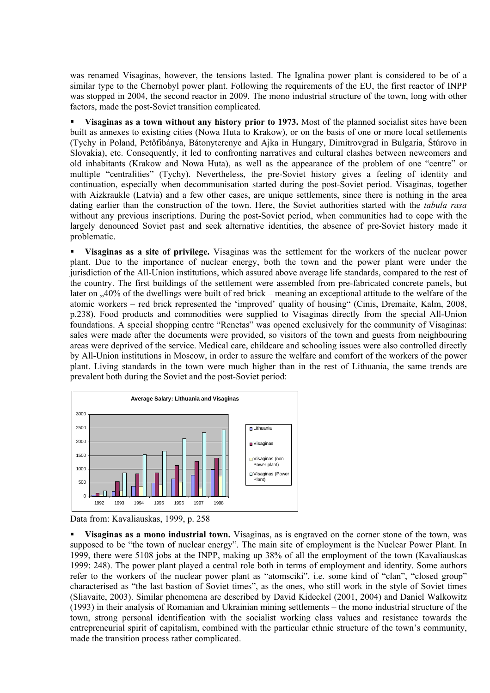was renamed Visaginas, however, the tensions lasted. The Ignalina power plant is considered to be of a similar type to the Chernobyl power plant. Following the requirements of the EU, the first reactor of INPP was stopped in 2004, the second reactor in 2009. The mono industrial structure of the town, long with other factors, made the post-Soviet transition complicated.

 **Visaginas as a town without any history prior to 1973.** Most of the planned socialist sites have been built as annexes to existing cities (Nowa Huta to Krakow), or on the basis of one or more local settlements (Tychy in Poland, Petőfibánya, Bátonyterenye and Ajka in Hungary, Dimitrovgrad in Bulgaria, Štúrovo in Slovakia), etc. Consequently, it led to confronting narratives and cultural clashes between newcomers and old inhabitants (Krakow and Nowa Huta), as well as the appearance of the problem of one "centre" or multiple "centralities" (Tychy). Nevertheless, the pre-Soviet history gives a feeling of identity and continuation, especially when decommunisation started during the post-Soviet period. Visaginas, together with Aizkraukle (Latvia) and a few other cases, are unique settlements, since there is nothing in the area dating earlier than the construction of the town. Here, the Soviet authorities started with the *tabula rasa* without any previous inscriptions. During the post-Soviet period, when communities had to cope with the largely denounced Soviet past and seek alternative identities, the absence of pre-Soviet history made it problematic.

 **Visaginas as a site of privilege.** Visaginas was the settlement for the workers of the nuclear power plant. Due to the importance of nuclear energy, both the town and the power plant were under the jurisdiction of the All-Union institutions, which assured above average life standards, compared to the rest of the country. The first buildings of the settlement were assembled from pre-fabricated concrete panels, but later on ..40% of the dwellings were built of red brick – meaning an exceptional attitude to the welfare of the atomic workers – red brick represented the 'improved' quality of housing" (Cinis, Dremaite, Kalm, 2008, p.238). Food products and commodities were supplied to Visaginas directly from the special All-Union foundations. A special shopping centre "Renetas" was opened exclusively for the community of Visaginas: sales were made after the documents were provided, so visitors of the town and guests from neighbouring areas were deprived of the service. Medical care, childcare and schooling issues were also controlled directly by All-Union institutions in Moscow, in order to assure the welfare and comfort of the workers of the power plant. Living standards in the town were much higher than in the rest of Lithuania, the same trends are prevalent both during the Soviet and the post-Soviet period:





 **Visaginas as a mono industrial town.** Visaginas, as is engraved on the corner stone of the town, was supposed to be "the town of nuclear energy". The main site of employment is the Nuclear Power Plant. In 1999, there were 5108 jobs at the INPP, making up 38% of all the employment of the town (Kavaliauskas 1999: 248). The power plant played a central role both in terms of employment and identity. Some authors refer to the workers of the nuclear power plant as "atomsciki", i.e. some kind of "clan", "closed group" characterised as "the last bastion of Soviet times", as the ones, who still work in the style of Soviet times (Sliavaite, 2003). Similar phenomena are described by David Kideckel (2001, 2004) and Daniel Walkowitz (1993) in their analysis of Romanian and Ukrainian mining settlements – the mono industrial structure of the town, strong personal identification with the socialist working class values and resistance towards the entrepreneurial spirit of capitalism, combined with the particular ethnic structure of the town's community, made the transition process rather complicated.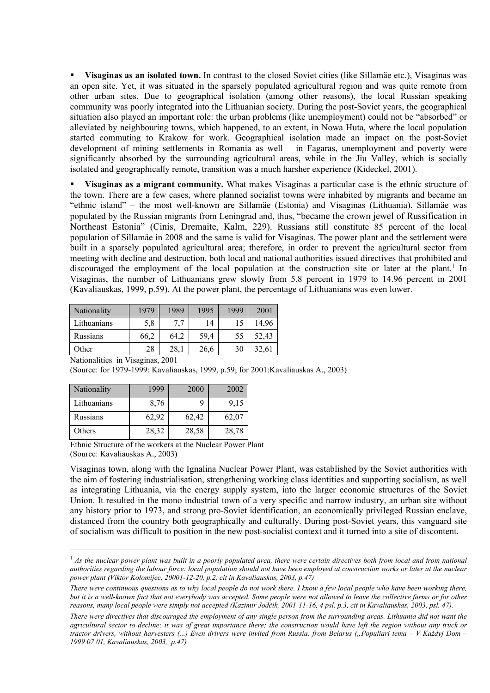**Visaginas as an isolated town.** In contrast to the closed Soviet cities (like Sillamäe etc.), Visaginas was an open site. Yet, it was situated in the sparsely populated agricultural region and was quite remote from other urban sites. Due to geographical isolation (among other reasons), the local Russian speaking community was poorly integrated into the Lithuanian society. During the post-Soviet years, the geographical situation also played an important role: the urban problems (like unemployment) could not be "absorbed" or alleviated by neighbouring towns, which happened, to an extent, in Nowa Huta, where the local population started commuting to Krakow for work. Geographical isolation made an impact on the post-Soviet development of mining settlements in Romania as well – in Fagaras, unemployment and poverty were significantly absorbed by the surrounding agricultural areas, while in the Jiu Valley, which is socially isolated and geographically remote, transition was a much harsher experience (Kideckel, 2001).

 **Visaginas as a migrant community.** What makes Visaginas a particular case is the ethnic structure of the town. There are a few cases, where planned socialist towns were inhabited by migrants and became an "ethnic island" – the most well-known are Sillamäe (Estonia) and Visaginas (Lithuania). Sillamäe was populated by the Russian migrants from Leningrad and, thus, "became the crown jewel of Russification in Northeast Estonia" (Cinis, Dremaite, Kalm, 229). Russians still constitute 85 percent of the local population of Sillamäe in 2008 and the same is valid for Visaginas. The power plant and the settlement were built in a sparsely populated agricultural area; therefore, in order to prevent the agricultural sector from meeting with decline and destruction, both local and national authorities issued directives that prohibited and discouraged the employment of the local population at the construction site or later at the plant.<sup>1</sup> In Visaginas, the number of Lithuanians grew slowly from 5.8 percent in 1979 to 14.96 percent in 2001 (Kavaliauskas, 1999, p.59). At the power plant, the percentage of Lithuanians was even lower.

| Nationality | 1979 | 1989 | 1995 | 1999 | 2001  |
|-------------|------|------|------|------|-------|
| Lithuanians | 5,8  | 7.7  | 14   | 15   | 14.96 |
| Russians    | 66,2 | 64,2 | 59,4 | 55   | 52,43 |
| Other       | 28   | 28,1 | 26,6 | 30   | 32,61 |

Nationalities in Visaginas, 2001

(Source: for 1979-1999: Kavaliauskas, 1999, p.59; for 2001:Kavaliauskas A., 2003)

| Nationality | 1999  | 2000  | 2002  |
|-------------|-------|-------|-------|
| Lithuanians | 8,76  |       | 9,15  |
| Russians    | 62,92 | 62,42 | 62,07 |
| Others      | 28,32 | 28,58 | 28,78 |

 $\overline{a}$ 

Ethnic Structure of the workers at the Nuclear Power Plant (Source: Kavaliauskas A., 2003)

Visaginas town, along with the Ignalina Nuclear Power Plant, was established by the Soviet authorities with the aim of fostering industrialisation, strengthening working class identities and supporting socialism, as well as integrating Lithuania, via the energy supply system, into the larger economic structures of the Soviet Union. It resulted in the mono industrial town of a very specific and narrow industry, an urban site without any history prior to 1973, and strong pro-Soviet identification, an economically privileged Russian enclave, distanced from the country both geographically and culturally. During post-Soviet years, this vanguard site of socialism was difficult to position in the new post-socialist context and it turned into a site of discontent.

<sup>&</sup>lt;sup>1</sup> As the nuclear power plant was built in a poorly populated area, there were certain directives both from local and from national *authorities regarding the labour force: local population should not have been employed at construction works or later at the nuclear power plant (Viktor Kolomijec, 20001-12-20, p.2, cit in Kavaliauskas, 2003, p.47)* 

*There were continuous questions as to why local people do not work there. I know a few local people who have been working there, but it is a well-known fact that not everybody was accepted. Some people were not allowed to leave the collective farms or for other reasons, many local people were simply not accepted (Kazimir Jodčik, 2001-11-16, 4 psl. p.3, cit in Kavaliauskas, 2003, psl. 47).* 

*There were directives that discouraged the employment of any single person from the surrounding areas. Lithuania did not want the agricultural sector to decline; it was of great importance there; the construction would have left the region without any truck or tractor drivers, without harvesters (...) Even drivers were invited from Russia, from Belarus ("Populiari tema – V Každyj Dom – 1999 07 01, Kavaliauskas, 2003, p.47)*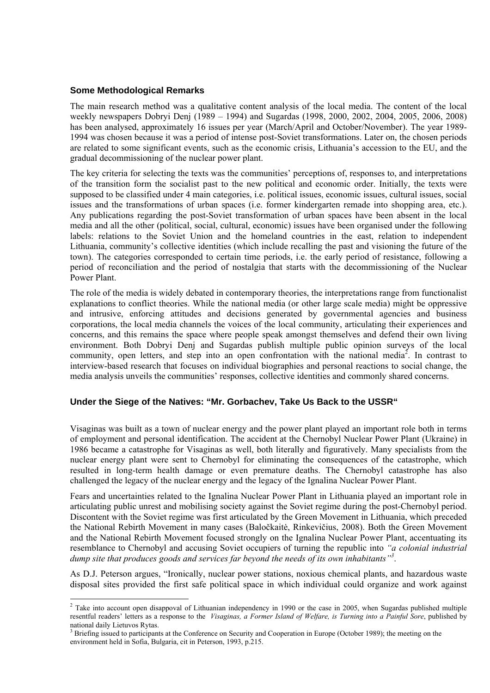### **Some Methodological Remarks**

The main research method was a qualitative content analysis of the local media. The content of the local weekly newspapers Dobryi Denj (1989 – 1994) and Sugardas (1998, 2000, 2002, 2004, 2005, 2006, 2008) has been analysed, approximately 16 issues per year (March/April and October/November). The year 1989-1994 was chosen because it was a period of intense post-Soviet transformations. Later on, the chosen periods are related to some significant events, such as the economic crisis, Lithuania's accession to the EU, and the gradual decommissioning of the nuclear power plant.

The key criteria for selecting the texts was the communities' perceptions of, responses to, and interpretations of the transition form the socialist past to the new political and economic order. Initially, the texts were supposed to be classified under 4 main categories, i.e. political issues, economic issues, cultural issues, social issues and the transformations of urban spaces (i.e. former kindergarten remade into shopping area, etc.). Any publications regarding the post-Soviet transformation of urban spaces have been absent in the local media and all the other (political, social, cultural, economic) issues have been organised under the following labels: relations to the Soviet Union and the homeland countries in the east, relation to independent Lithuania, community's collective identities (which include recalling the past and visioning the future of the town). The categories corresponded to certain time periods, i.e. the early period of resistance, following a period of reconciliation and the period of nostalgia that starts with the decommissioning of the Nuclear Power Plant.

The role of the media is widely debated in contemporary theories, the interpretations range from functionalist explanations to conflict theories. While the national media (or other large scale media) might be oppressive and intrusive, enforcing attitudes and decisions generated by governmental agencies and business corporations, the local media channels the voices of the local community, articulating their experiences and concerns, and this remains the space where people speak amongst themselves and defend their own living environment. Both Dobryi Denj and Sugardas publish multiple public opinion surveys of the local community, open letters, and step into an open confrontation with the national media<sup>2</sup>. In contrast to interview-based research that focuses on individual biographies and personal reactions to social change, the media analysis unveils the communities' responses, collective identities and commonly shared concerns.

#### **Under the Siege of the Natives: "Mr. Gorbachev, Take Us Back to the USSR"**

Visaginas was built as a town of nuclear energy and the power plant played an important role both in terms of employment and personal identification. The accident at the Chernobyl Nuclear Power Plant (Ukraine) in 1986 became a catastrophe for Visaginas as well, both literally and figuratively. Many specialists from the nuclear energy plant were sent to Chernobyl for eliminating the consequences of the catastrophe, which resulted in long-term health damage or even premature deaths. The Chernobyl catastrophe has also challenged the legacy of the nuclear energy and the legacy of the Ignalina Nuclear Power Plant.

Fears and uncertainties related to the Ignalina Nuclear Power Plant in Lithuania played an important role in articulating public unrest and mobilising society against the Soviet regime during the post-Chernobyl period. Discontent with the Soviet regime was first articulated by the Green Movement in Lithuania, which preceded the National Rebirth Movement in many cases (Baločkaitė, Rinkevičius, 2008). Both the Green Movement and the National Rebirth Movement focused strongly on the Ignalina Nuclear Power Plant, accentuating its resemblance to Chernobyl and accusing Soviet occupiers of turning the republic into *"a colonial industrial dump site that produces goods and services far beyond the needs of its own inhabitants"3* .

As D.J. Peterson argues, "Ironically, nuclear power stations, noxious chemical plants, and hazardous waste disposal sites provided the first safe political space in which individual could organize and work against

<sup>&</sup>lt;sup>2</sup> Take into account open disappoval of Lithuanian independency in 1990 or the case in 2005, when Sugardas published multiple resentful readers' letters as a response to the *Visaginas, a Former Island of Welfare, is Turning into a Painful Sore*, published by national daily Lietuvos Rytas.<br><sup>3</sup> Priofina issued to pertiainent.

Briefing issued to participants at the Conference on Security and Cooperation in Europe (October 1989); the meeting on the environment held in Sofia, Bulgaria, cit in Peterson, 1993, p.215.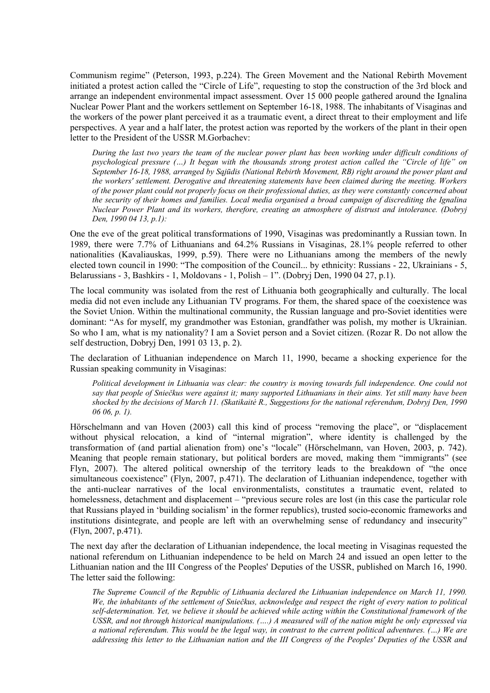Communism regime" (Peterson, 1993, p.224). The Green Movement and the National Rebirth Movement initiated a protest action called the "Circle of Life", requesting to stop the construction of the 3rd block and arrange an independent environmental impact assessment. Over 15 000 people gathered around the Ignalina Nuclear Power Plant and the workers settlement on September 16-18, 1988. The inhabitants of Visaginas and the workers of the power plant perceived it as a traumatic event, a direct threat to their employment and life perspectives. A year and a half later, the protest action was reported by the workers of the plant in their open letter to the President of the USSR M.Gorbachev:

*During the last two years the team of the nuclear power plant has been working under difficult conditions of psychological pressure (…) It began with the thousands strong protest action called the "Circle of life" on September 16-18, 1988, arranged by Sąjūdis (National Rebirth Movement, RB) right around the power plant and the workers' settlement. Derogative and threatening statements have been claimed during the meeting. Workers of the power plant could not properly focus on their professional duties, as they were constantly concerned about the security of their homes and families. Local media organised a broad campaign of discrediting the Ignalina Nuclear Power Plant and its workers, therefore, creating an atmosphere of distrust and intolerance. (Dobryj Den, 1990 04 13, p.1):* 

One the eve of the great political transformations of 1990, Visaginas was predominantly a Russian town. In 1989, there were 7.7% of Lithuanians and 64.2% Russians in Visaginas, 28.1% people referred to other nationalities (Kavaliauskas, 1999, p.59). There were no Lithuanians among the members of the newly elected town council in 1990: "The composition of the Council... by ethnicity: Russians - 22, Ukrainians - 5, Belarussians - 3, Bashkirs - 1, Moldovans - 1, Polish – 1". (Dobryj Den, 1990 04 27, p.1).

The local community was isolated from the rest of Lithuania both geographically and culturally. The local media did not even include any Lithuanian TV programs. For them, the shared space of the coexistence was the Soviet Union. Within the multinational community, the Russian language and pro-Soviet identities were dominant: "As for myself, my grandmother was Estonian, grandfather was polish, my mother is Ukrainian. So who I am, what is my nationality? I am a Soviet person and a Soviet citizen. (Rozar R. Do not allow the self destruction, Dobryj Den, 1991 03 13, p. 2).

The declaration of Lithuanian independence on March 11, 1990, became a shocking experience for the Russian speaking community in Visaginas:

*Political development in Lithuania was clear: the country is moving towards full independence. One could not say that people of Sniečkus were against it; many supported Lithuanians in their aims. Yet still many have been shocked by the decisions of March 11. (Skatikaitė R., Suggestions for the national referendum, Dobryj Den, 1990 06 06, p. 1).* 

Hörschelmann and van Hoven (2003) call this kind of process "removing the place", or "displacement without physical relocation, a kind of "internal migration", where identity is challenged by the transformation of (and partial alienation from) one's "locale" (Hörschelmann, van Hoven, 2003, p. 742). Meaning that people remain stationary, but political borders are moved, making them "immigrants" (see Flyn, 2007). The altered political ownership of the territory leads to the breakdown of "the once simultaneous coexistence" (Flyn, 2007, p.471). The declaration of Lithuanian independence, together with the anti-nuclear narratives of the local environmentalists, constitutes a traumatic event, related to homelessness, detachment and displacement – "previous secure roles are lost (in this case the particular role that Russians played in 'building socialism' in the former republics), trusted socio-economic frameworks and institutions disintegrate, and people are left with an overwhelming sense of redundancy and insecurity" (Flyn, 2007, p.471).

The next day after the declaration of Lithuanian independence, the local meeting in Visaginas requested the national referendum on Lithuanian independence to be held on March 24 and issued an open letter to the Lithuanian nation and the III Congress of the Peoples' Deputies of the USSR, published on March 16, 1990. The letter said the following:

*The Supreme Council of the Republic of Lithuania declared the Lithuanian independence on March 11, 1990. We, the inhabitants of the settlement of Sniečkus, acknowledge and respect the right of every nation to political self-determination. Yet, we believe it should be achieved while acting within the Constitutional framework of the USSR, and not through historical manipulations. (….) A measured will of the nation might be only expressed via a national referendum. This would be the legal way, in contrast to the current political adventures. (…) We are addressing this letter to the Lithuanian nation and the III Congress of the Peoples' Deputies of the USSR and*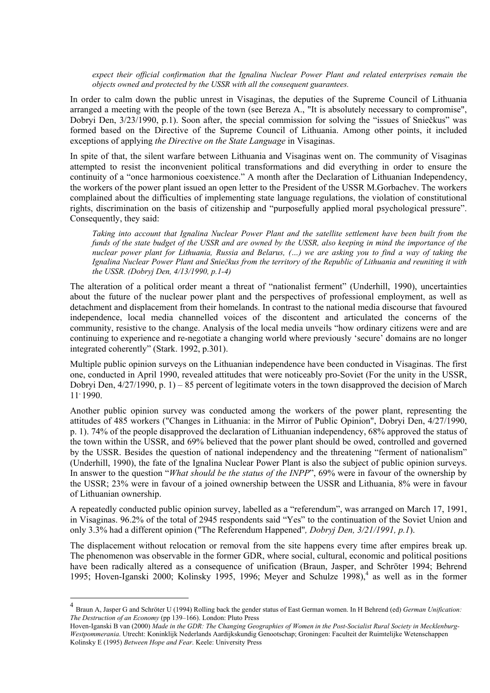*expect their official confirmation that the Ignalina Nuclear Power Plant and related enterprises remain the objects owned and protected by the USSR with all the consequent guarantees.* 

In order to calm down the public unrest in Visaginas, the deputies of the Supreme Council of Lithuania arranged a meeting with the people of the town (see Bereza A., "It is absolutely necessary to compromise", Dobryi Den, 3/23/1990, p.1). Soon after, the special commission for solving the "issues of Sniečkus" was formed based on the Directive of the Supreme Council of Lithuania. Among other points, it included exceptions of applying *the Directive on the State Language* in Visaginas.

In spite of that, the silent warfare between Lithuania and Visaginas went on. The community of Visaginas attempted to resist the inconvenient political transformations and did everything in order to ensure the continuity of a "once harmonious coexistence." A month after the Declaration of Lithuanian Independency, the workers of the power plant issued an open letter to the President of the USSR M.Gorbachev. The workers complained about the difficulties of implementing state language regulations, the violation of constitutional rights, discrimination on the basis of citizenship and "purposefully applied moral psychological pressure". Consequently, they said:

*Taking into account that Ignalina Nuclear Power Plant and the satellite settlement have been built from the funds of the state budget of the USSR and are owned by the USSR, also keeping in mind the importance of the nuclear power plant for Lithuania, Russia and Belarus, (…) we are asking you to find a way of taking the Ignalina Nuclear Power Plant and Sniečkus from the territory of the Republic of Lithuania and reuniting it with the USSR. (Dobryj Den, 4/13/1990, p.1-4)* 

The alteration of a political order meant a threat of "nationalist ferment" (Underhill, 1990), uncertainties about the future of the nuclear power plant and the perspectives of professional employment, as well as detachment and displacement from their homelands. In contrast to the national media discourse that favoured independence, local media channelled voices of the discontent and articulated the concerns of the community, resistive to the change. Analysis of the local media unveils "how ordinary citizens were and are continuing to experience and re-negotiate a changing world where previously 'secure' domains are no longer integrated coherently" (Stark. 1992, p.301).

Multiple public opinion surveys on the Lithuanian independence have been conducted in Visaginas. The first one, conducted in April 1990, revealed attitudes that were noticeably pro-Soviet (For the unity in the USSR, Dobryi Den, 4/27/1990, p. 1) – 85 percent of legitimate voters in the town disapproved the decision of March  $11, 1990.$ 

Another public opinion survey was conducted among the workers of the power plant, representing the attitudes of 485 workers ("Changes in Lithuania: in the Mirror of Public Opinion", Dobryi Den, 4/27/1990, p. 1). 74% of the people disapproved the declaration of Lithuanian independency, 68% approved the status of the town within the USSR, and 69% believed that the power plant should be owed, controlled and governed by the USSR. Besides the question of national independency and the threatening "ferment of nationalism" (Underhill, 1990), the fate of the Ignalina Nuclear Power Plant is also the subject of public opinion surveys. In answer to the question "*What should be the status of the INPP*", 69% were in favour of the ownership by the USSR; 23% were in favour of a joined ownership between the USSR and Lithuania, 8% were in favour of Lithuanian ownership.

A repeatedly conducted public opinion survey, labelled as a "referendum", was arranged on March 17, 1991, in Visaginas. 96.2% of the total of 2945 respondents said "Yes" to the continuation of the Soviet Union and only 3.3% had a different opinion ("The Referendum Happened"*, Dobryj Den, 3/21/1991, p.1*).

The displacement without relocation or removal from the site happens every time after empires break up. The phenomenon was observable in the former GDR, where social, cultural, economic and political positions have been radically altered as a consequence of unification (Braun, Jasper, and Schröter 1994; Behrend 1995; Hoven-Iganski 2000; Kolinsky 1995, 1996; Meyer and Schulze 1998),<sup>4</sup> as well as in the former

 $\overline{a}$ 

<sup>4</sup> Braun A, Jasper G and Schröter U (1994) Rolling back the gender status of East German women. In H Behrend (ed) *German Unification: The Destruction of an Economy* (pp 139–166). London: Pluto Press

Hoven-Iganski B van (2000) *Made in the GDR: The Changing Geographies of Women in the Post-Socialist Rural Society in Mecklenburg-Westpommerania*. Utrecht: Koninklijk Nederlands Aardijkskundig Genootschap; Groningen: Faculteit der Ruimtelijke Wetenschappen Kolinsky E (1995) *Between Hope and Fear*. Keele: University Press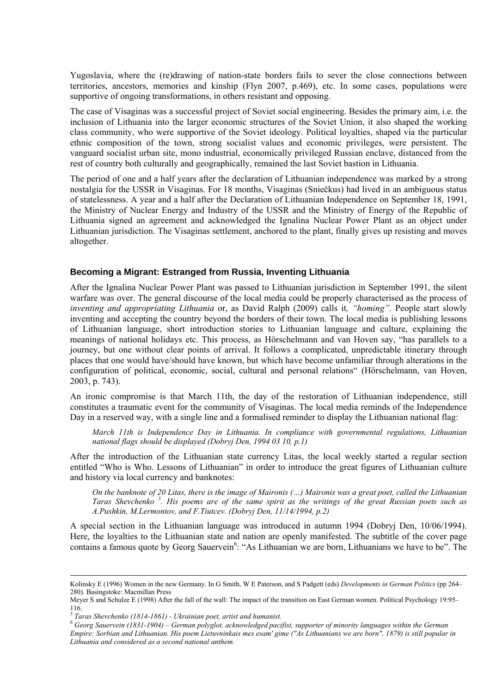Yugoslavia, where the (re)drawing of nation-state borders fails to sever the close connections between territories, ancestors, memories and kinship (Flyn 2007, p.469), etc. In some cases, populations were supportive of ongoing transformations, in others resistant and opposing.

The case of Visaginas was a successful project of Soviet social engineering. Besides the primary aim, i.e. the inclusion of Lithuania into the larger economic structures of the Soviet Union, it also shaped the working class community, who were supportive of the Soviet ideology. Political loyalties, shaped via the particular ethnic composition of the town, strong socialist values and economic privileges, were persistent. The vanguard socialist urban site, mono industrial, economically privileged Russian enclave, distanced from the rest of country both culturally and geographically, remained the last Soviet bastion in Lithuania.

The period of one and a half years after the declaration of Lithuanian independence was marked by a strong nostalgia for the USSR in Visaginas. For 18 months, Visaginas (Sniečkus) had lived in an ambiguous status of statelessness. A year and a half after the Declaration of Lithuanian Independence on September 18, 1991, the Ministry of Nuclear Energy and Industry of the USSR and the Ministry of Energy of the Republic of Lithuania signed an agreement and acknowledged the Ignalina Nuclear Power Plant as an object under Lithuanian jurisdiction. The Visaginas settlement, anchored to the plant, finally gives up resisting and moves altogether.

#### **Becoming a Migrant: Estranged from Russia, Inventing Lithuania**

After the Ignalina Nuclear Power Plant was passed to Lithuanian jurisdiction in September 1991, the silent warfare was over. The general discourse of the local media could be properly characterised as the process of *inventing and appropriating Lithuania* or, as David Ralph (2009) calls it*, "homing".* People start slowly inventing and accepting the country beyond the borders of their town. The local media is publishing lessons of Lithuanian language, short introduction stories to Lithuanian language and culture, explaining the meanings of national holidays etc. This process, as Hörschelmann and van Hoven say, "has parallels to a journey, but one without clear points of arrival. It follows a complicated, unpredictable itinerary through places that one would have/should have known, but which have become unfamiliar through alterations in the configuration of political, economic, social, cultural and personal relations" (Hörschelmann, van Hoven, 2003, p. 743).

An ironic compromise is that March 11th, the day of the restoration of Lithuanian independence, still constitutes a traumatic event for the community of Visaginas. The local media reminds of the Independence Day in a reserved way, with a single line and a formalised reminder to display the Lithuanian national flag:

*March 11th is Independence Day in Lithuania. In compliance with governmental regulations, Lithuanian national flags should be displayed (Dobryj Den, 1994 03 10, p.1)* 

After the introduction of the Lithuanian state currency Litas, the local weekly started a regular section entitled "Who is Who. Lessons of Lithuanian" in order to introduce the great figures of Lithuanian culture and history via local currency and banknotes:

*On the banknote of 20 Litas, there is the image of Maironis (…) Maironis was a great poet, called the Lithuanian Taras Shevchenko <sup>5</sup> . His poems are of the same spirit as the writings of the great Russian poets such as A.Pushkin, M.Lermontov, and F.Tiutcev. (Dobryj Den, 11/14/1994, p.2)* 

A special section in the Lithuanian language was introduced in autumn 1994 (Dobryj Den, 10/06/1994). Here, the loyalties to the Lithuanian state and nation are openly manifested. The subtitle of the cover page contains a famous quote by Georg Sauervein<sup>6</sup>: "As Lithuanian we are born, Lithuanians we have to be". The

Kolinsky E (1996) Women in the new Germany. In G Smith, W E Paterson, and S Padgett (eds) *Developments in German Politics* (pp 264– 280). Basingstoke: Macmillan Press

Meyer S and Schulze E (1998) After the fall of the wall: The impact of the transition on East German women. Political Psychology 19:95– 116.

*<sup>5</sup> Taras Shevchenko (1814-1861) - Ukrainian poet, artist and humanist.* 

*<sup>6</sup> Georg Sauervein (1831-1904) – German polyglot, acknowledged pacifist, supporter of minority languages within the German Empire: Sorbian and Lithuanian. His poem Lietuvninkais mes esam' gime ("As Lithuanians we are born", 1879) is still popular in Lithuania and considered as a second national anthem.*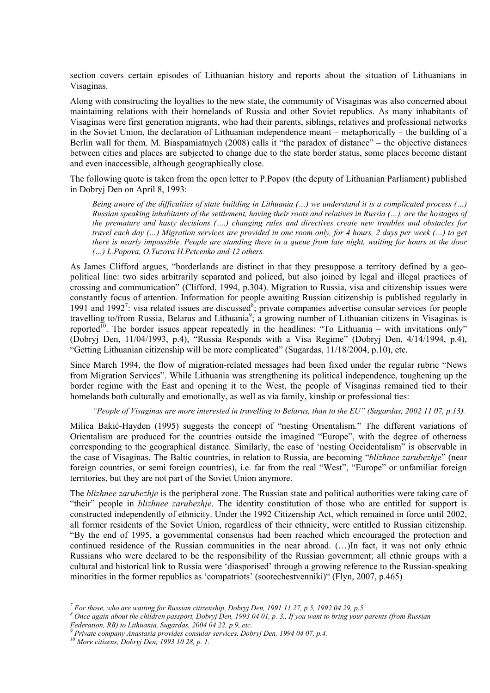section covers certain episodes of Lithuanian history and reports about the situation of Lithuanians in Visaginas.

Along with constructing the loyalties to the new state, the community of Visaginas was also concerned about maintaining relations with their homelands of Russia and other Soviet republics. As many inhabitants of Visaginas were first generation migrants, who had their parents, siblings, relatives and professional networks in the Soviet Union, the declaration of Lithuanian independence meant – metaphorically – the building of a Berlin wall for them. M. Biaspamiatnych (2008) calls it "the paradox of distance" – the objective distances between cities and places are subjected to change due to the state border status, some places become distant and even inaccessible, although geographically close.

The following quote is taken from the open letter to P.Popov (the deputy of Lithuanian Parliament) published in Dobryj Den on April 8, 1993:

*Being aware of the difficulties of state building in Lithuania (…) we understand it is a complicated process (…) Russian speaking inhabitants of the settlement, having their roots and relatives in Russia (…), are the hostages of the premature and hasty decisions (….) changing rules and directives create new troubles and obstacles for travel each day (…) Migration services are provided in one room only, for 4 hours, 2 days per week (…) to get there is nearly impossible. People are standing there in a queue from late night, waiting for hours at the door (…) L.Popova, O.Tuzova H.Petcenko and 12 others.* 

As James Clifford argues, "borderlands are distinct in that they presuppose a territory defined by a geopolitical line: two sides arbitrarily separated and policed, but also joined by legal and illegal practices of crossing and communication" (Clifford, 1994, p.304). Migration to Russia, visa and citizenship issues were constantly focus of attention. Information for people awaiting Russian citizenship is published regularly in 1991 and 1992<sup>7</sup>: visa related issues are discussed<sup>8</sup>; private companies advertise consular services for people travelling to/from Russia, Belarus and Lithuania<sup>9</sup>; a growing number of Lithuanian citizens in Visaginas is reported<sup>10</sup>. The border issues appear repeatedly in the headlines: "To Lithuania – with invitations only" (Dobryj Den, 11/04/1993, p.4), "Russia Responds with a Visa Regime" (Dobryj Den, 4/14/1994, p.4), "Getting Lithuanian citizenship will be more complicated" (Sugardas, 11/18/2004, p.10), etc.

Since March 1994, the flow of migration-related messages had been fixed under the regular rubric "News from Migration Services". While Lithuania was strengthening its political independence, toughening up the border regime with the East and opening it to the West, the people of Visaginas remained tied to their homelands both culturally and emotionally, as well as via family, kinship or professional ties:

*"People of Visaginas are more interested in travelling to Belarus, than to the EU" (Sugardas, 2002 11 07, p.13).* 

Milica Bakić-Hayden (1995) suggests the concept of "nesting Orientalism." The different variations of Orientalism are produced for the countries outside the imagined "Europe", with the degree of otherness corresponding to the geographical distance. Similarly, the case of 'nesting Occidentalism" is observable in the case of Visaginas. The Baltic countries, in relation to Russia, are becoming "*blizhnee zarubezhje*" (near foreign countries, or semi foreign countries), i.e. far from the real "West", "Europe" or unfamiliar foreign territories, but they are not part of the Soviet Union anymore.

The *blizhnee zarubezhje* is the peripheral zone. The Russian state and political authorities were taking care of "their" people in *blizhnee zarubezhje*. The identity constitution of those who are entitled for support is constructed independently of ethnicity. Under the 1992 Citizenship Act, which remained in force until 2002, all former residents of the Soviet Union, regardless of their ethnicity, were entitled to Russian citizenship. "By the end of 1995, a governmental consensus had been reached which encouraged the protection and continued residence of the Russian communities in the near abroad. (…)In fact, it was not only ethnic Russians who were declared to be the responsibility of the Russian government; all ethnic groups with a cultural and historical link to Russia were 'diasporised' through a growing reference to the Russian-speaking minorities in the former republics as 'compatriots' (sootechestvenniki)" (Flyn, 2007, p.465)

 $\overline{a}$ 

*<sup>&</sup>lt;sup>7</sup>* For those, who are waiting for Russian citizenship. Dobryj Den, 1991 11 27, p.5, 1992 04 29, p.5.  $\frac{8}{3}$  Onge again about the objective parameter Debruis Den, 1992 04 01, p.3. If you want to bring your r

*Once again about the children passport, Dobryj Den, 1993 04 01, p. 3., If you want to bring your parents (from Russian Federation, RB) to Lithuania, Sugardas, 2004 04 22, p.9, etc. 9*

*Private company Anastasia provides consular services, Dobryj Den, 1994 04 07, p.4. 10 More citizens, Dobryj Den, 1993 10 28, p. 1.*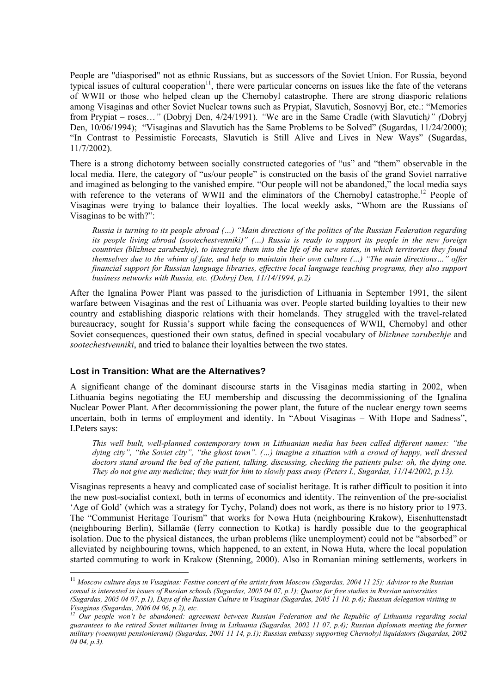People are "diasporised" not as ethnic Russians, but as successors of the Soviet Union. For Russia, beyond typical issues of cultural cooperation<sup>11</sup>, there were particular concerns on issues like the fate of the veterans of WWII or those who helped clean up the Chernobyl catastrophe. There are strong diasporic relations among Visaginas and other Soviet Nuclear towns such as Prypiat, Slavutich, Sosnovyj Bor, etc.: "Memories from Prypiat – roses…*"* (Dobryj Den, 4/24/1991). *"*We are in the Same Cradle (with Slavutich*)" (*Dobryj Den, 10/06/1994); "Visaginas and Slavutich has the Same Problems to be Solved" (Sugardas, 11/24/2000); "In Contrast to Pessimistic Forecasts, Slavutich is Still Alive and Lives in New Ways" (Sugardas, 11/7/2002).

There is a strong dichotomy between socially constructed categories of "us" and "them" observable in the local media. Here, the category of "us/our people" is constructed on the basis of the grand Soviet narrative and imagined as belonging to the vanished empire. "Our people will not be abandoned," the local media says with reference to the veterans of WWII and the eliminators of the Chernobyl catastrophe.<sup>12</sup> People of Visaginas were trying to balance their loyalties. The local weekly asks, "Whom are the Russians of Visaginas to be with?":

*Russia is turning to its people abroad (…) "Main directions of the politics of the Russian Federation regarding its people living abroad (sootechestvenniki)" (…) Russia is ready to support its people in the new foreign countries (blizhnee zarubezhje), to integrate them into the life of the new states, in which territories they found themselves due to the whims of fate, and help to maintain their own culture (…) "The main directions…" offer financial support for Russian language libraries, effective local language teaching programs, they also support business networks with Russia, etc. (Dobryj Den, 11/14/1994, p.2)* 

After the Ignalina Power Plant was passed to the jurisdiction of Lithuania in September 1991, the silent warfare between Visaginas and the rest of Lithuania was over. People started building loyalties to their new country and establishing diasporic relations with their homelands. They struggled with the travel-related bureaucracy, sought for Russia's support while facing the consequences of WWII, Chernobyl and other Soviet consequences, questioned their own status, defined in special vocabulary of *blizhnee zarubezhje* and *sootechestvenniki*, and tried to balance their loyalties between the two states.

#### **Lost in Transition: What are the Alternatives?**

 $\overline{a}$ 

A significant change of the dominant discourse starts in the Visaginas media starting in 2002, when Lithuania begins negotiating the EU membership and discussing the decommissioning of the Ignalina Nuclear Power Plant. After decommissioning the power plant, the future of the nuclear energy town seems uncertain, both in terms of employment and identity. In "About Visaginas – With Hope and Sadness", I.Peters says:

*This well built, well-planned contemporary town in Lithuanian media has been called different names: "the dying city", "the Soviet city", "the ghost town". (…) imagine a situation with a crowd of happy, well dressed doctors stand around the bed of the patient, talking, discussing, checking the patients pulse: oh, the dying one. They do not give any medicine; they wait for him to slowly pass away (Peters I., Sugardas, 11/14/2002, p.13).* 

Visaginas represents a heavy and complicated case of socialist heritage. It is rather difficult to position it into the new post-socialist context, both in terms of economics and identity. The reinvention of the pre-socialist 'Age of Gold' (which was a strategy for Tychy, Poland) does not work, as there is no history prior to 1973. The "Communist Heritage Tourism" that works for Nowa Huta (neighbouring Krakow), Eisenhuttenstadt (neighbouring Berlin), Sillamäe (ferry connection to Kotka) is hardly possible due to the geographical isolation. Due to the physical distances, the urban problems (like unemployment) could not be "absorbed" or alleviated by neighbouring towns, which happened, to an extent, in Nowa Huta, where the local population started commuting to work in Krakow (Stenning, 2000). Also in Romanian mining settlements, workers in

<sup>11</sup> *Moscow culture days in Visaginas: Festive concert of the artists from Moscow (Sugardas, 2004 11 25); Advisor to the Russian consul is interested in issues of Russian schools (Sugardas, 2005 04 07, p.1); Quotas for free studies in Russian universities (Sugardas, 2005 04 07, p.1), Days of the Russian Culture in Visaginas (Sugardas, 2005 11 10. p.4); Russian delegation visiting in Visaginas (Sugardas, 2006 04 06, p.2), etc.*

<sup>&</sup>lt;sup>12</sup> Our people won't be abandoned: agreement between Russian Federation and the Republic of Lithuania regarding social *guarantees to the retired Soviet militaries living in Lithuania (Sugardas, 2002 11 07, p.4); Russian diplomats meeting the former military (voennymi pensionierami) (Sugardas, 2001 11 14, p.1); Russian embassy supporting Chernobyl liquidators (Sugardas, 2002 04 04, p.3).*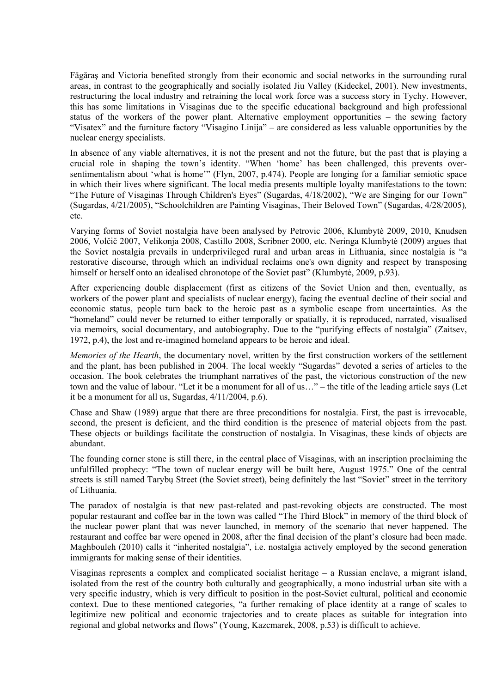Făgăraş and Victoria benefited strongly from their economic and social networks in the surrounding rural areas, in contrast to the geographically and socially isolated Jiu Valley (Kideckel, 2001). New investments, restructuring the local industry and retraining the local work force was a success story in Tychy. However, this has some limitations in Visaginas due to the specific educational background and high professional status of the workers of the power plant. Alternative employment opportunities – the sewing factory "Visatex" and the furniture factory "Visagino Linija" – are considered as less valuable opportunities by the nuclear energy specialists.

In absence of any viable alternatives, it is not the present and not the future, but the past that is playing a crucial role in shaping the town's identity. "When 'home' has been challenged, this prevents oversentimentalism about 'what is home'" (Flyn, 2007, p.474). People are longing for a familiar semiotic space in which their lives where significant. The local media presents multiple loyalty manifestations to the town: "The Future of Visaginas Through Children's Eyes" (Sugardas, 4/18/2002), "We are Singing for our Town" (Sugardas, 4/21/2005), "Schoolchildren are Painting Visaginas, Their Beloved Town" (Sugardas, 4/28/2005)*,* etc.

Varying forms of Soviet nostalgia have been analysed by Petrovic 2006, Klumbytė 2009, 2010, Knudsen 2006, Volčič 2007, Velikonja 2008, Castillo 2008, Scribner 2000, etc. Neringa Klumbytė (2009) argues that the Soviet nostalgia prevails in underprivileged rural and urban areas in Lithuania, since nostalgia is "a restorative discourse, through which an individual reclaims one's own dignity and respect by transposing himself or herself onto an idealised chronotope of the Soviet past" (Klumbytė, 2009, p.93).

After experiencing double displacement (first as citizens of the Soviet Union and then, eventually, as workers of the power plant and specialists of nuclear energy), facing the eventual decline of their social and economic status, people turn back to the heroic past as a symbolic escape from uncertainties. As the "homeland" could never be returned to either temporally or spatially, it is reproduced, narrated, visualised via memoirs, social documentary, and autobiography. Due to the "purifying effects of nostalgia" (Zaitsev, 1972, p.4), the lost and re-imagined homeland appears to be heroic and ideal.

*Memories of the Hearth*, the documentary novel, written by the first construction workers of the settlement and the plant, has been published in 2004. The local weekly "Sugardas" devoted a series of articles to the occasion. The book celebrates the triumphant narratives of the past, the victorious construction of the new town and the value of labour. "Let it be a monument for all of us…" – the title of the leading article says (Let it be a monument for all us, Sugardas, 4/11/2004, p.6).

Chase and Shaw (1989) argue that there are three preconditions for nostalgia. First, the past is irrevocable, second, the present is deficient, and the third condition is the presence of material objects from the past. These objects or buildings facilitate the construction of nostalgia. In Visaginas, these kinds of objects are abundant.

The founding corner stone is still there, in the central place of Visaginas, with an inscription proclaiming the unfulfilled prophecy: "The town of nuclear energy will be built here, August 1975." One of the central streets is still named Tarybų Street (the Soviet street), being definitely the last "Soviet" street in the territory of Lithuania.

The paradox of nostalgia is that new past-related and past-revoking objects are constructed. The most popular restaurant and coffee bar in the town was called "The Third Block" in memory of the third block of the nuclear power plant that was never launched, in memory of the scenario that never happened. The restaurant and coffee bar were opened in 2008, after the final decision of the plant's closure had been made. Maghbouleh (2010) calls it "inherited nostalgia", i.e. nostalgia actively employed by the second generation immigrants for making sense of their identities.

Visaginas represents a complex and complicated socialist heritage – a Russian enclave, a migrant island, isolated from the rest of the country both culturally and geographically, a mono industrial urban site with a very specific industry, which is very difficult to position in the post-Soviet cultural, political and economic context. Due to these mentioned categories, "a further remaking of place identity at a range of scales to legitimize new political and economic trajectories and to create places as suitable for integration into regional and global networks and flows" (Young, Kazcmarek, 2008, p.53) is difficult to achieve.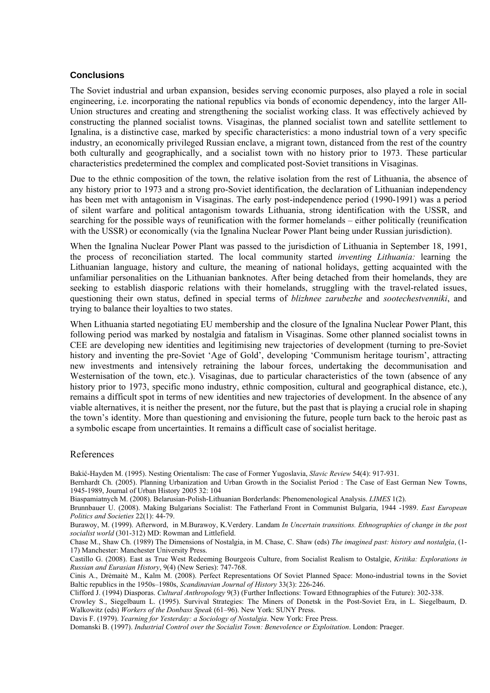#### **Conclusions**

The Soviet industrial and urban expansion, besides serving economic purposes, also played a role in social engineering, i.e. incorporating the national republics via bonds of economic dependency, into the larger All-Union structures and creating and strengthening the socialist working class. It was effectively achieved by constructing the planned socialist towns. Visaginas, the planned socialist town and satellite settlement to Ignalina, is a distinctive case, marked by specific characteristics: a mono industrial town of a very specific industry, an economically privileged Russian enclave, a migrant town, distanced from the rest of the country both culturally and geographically, and a socialist town with no history prior to 1973. These particular characteristics predetermined the complex and complicated post-Soviet transitions in Visaginas.

Due to the ethnic composition of the town, the relative isolation from the rest of Lithuania, the absence of any history prior to 1973 and a strong pro-Soviet identification, the declaration of Lithuanian independency has been met with antagonism in Visaginas. The early post-independence period (1990-1991) was a period of silent warfare and political antagonism towards Lithuania, strong identification with the USSR, and searching for the possible ways of reunification with the former homelands – either politically (reunification with the USSR) or economically (via the Ignalina Nuclear Power Plant being under Russian jurisdiction).

When the Ignalina Nuclear Power Plant was passed to the jurisdiction of Lithuania in September 18, 1991, the process of reconciliation started. The local community started *inventing Lithuania:* learning the Lithuanian language, history and culture, the meaning of national holidays, getting acquainted with the unfamiliar personalities on the Lithuanian banknotes. After being detached from their homelands, they are seeking to establish diasporic relations with their homelands, struggling with the travel-related issues, questioning their own status, defined in special terms of *blizhnee zarubezhe* and *sootechestvenniki*, and trying to balance their loyalties to two states.

When Lithuania started negotiating EU membership and the closure of the Ignalina Nuclear Power Plant, this following period was marked by nostalgia and fatalism in Visaginas. Some other planned socialist towns in CEE are developing new identities and legitimising new trajectories of development (turning to pre-Soviet history and inventing the pre-Soviet 'Age of Gold', developing 'Communism heritage tourism', attracting new investments and intensively retraining the labour forces, undertaking the decommunisation and Westernisation of the town, etc.). Visaginas, due to particular characteristics of the town (absence of any history prior to 1973, specific mono industry, ethnic composition, cultural and geographical distance, etc.), remains a difficult spot in terms of new identities and new trajectories of development. In the absence of any viable alternatives, it is neither the present, nor the future, but the past that is playing a crucial role in shaping the town's identity. More than questioning and envisioning the future, people turn back to the heroic past as a symbolic escape from uncertainties. It remains a difficult case of socialist heritage.

#### References

Bakić-Hayden M. (1995). Nesting Orientalism: The case of Former Yugoslavia, *Slavic Review* 54(4): 917-931.

Bernhardt Ch. (2005). Planning Urbanization and Urban Growth in the Socialist Period : The Case of East German New Towns, 1945-1989, Journal of Urban History 2005 32: 104

Biaspamiatnych M. (2008). Belarusian-Polish-Lithuanian Borderlands: Phenomenological Analysis. *LIMES* 1(2).

Brunnbauer U. (2008). Making Bulgarians Socialist: The Fatherland Front in Communist Bulgaria, 1944 -1989. *East European Politics and Societies* 22(1): 44-79.

Burawoy, M. (1999). Afterword, in M.Burawoy, K.Verdery. Landam *In Uncertain transitions. Ethnographies of change in the post socialist world* (301-312) MD: Rowman and Littlefield.

Chase M., Shaw Ch. (1989) The Dimensions of Nostalgia, in M. Chase, C. Shaw (eds) *The imagined past: history and nostalgia*, (1- 17) Manchester: Manchester University Press.

Castillo G. (2008). East as True West Redeeming Bourgeois Culture, from Socialist Realism to Ostalgie, *Kritika: Explorations in Russian and Eurasian History*, 9(4) (New Series): 747-768.

Cinis A., Drėmaitė M., Kalm M. (2008). Perfect Representations Of Soviet Planned Space: Mono-industrial towns in the Soviet Baltic republics in the 1950s–1980s, *Scandinavian Journal of History* 33(3): 226-246.

Clifford J. (1994) Diasporas. *Cultural Anthropology* 9(3) (Further Inflections: Toward Ethnographies of the Future): 302-338.

Crowley S., Siegelbaum L. (1995). Survival Strategies: The Miners of Donetsk in the Post-Soviet Era, in L. Siegelbaum, D. Walkowitz (eds) *Workers of the Donbass Speak* (61–96). New York: SUNY Press.

Davis F. (1979). *Yearning for Yesterday: a Sociology of Nostalgia*. New York: Free Press.

Domanski B. (1997). *Industrial Control over the Socialist Town: Benevolence or Exploitation*. London: Praeger.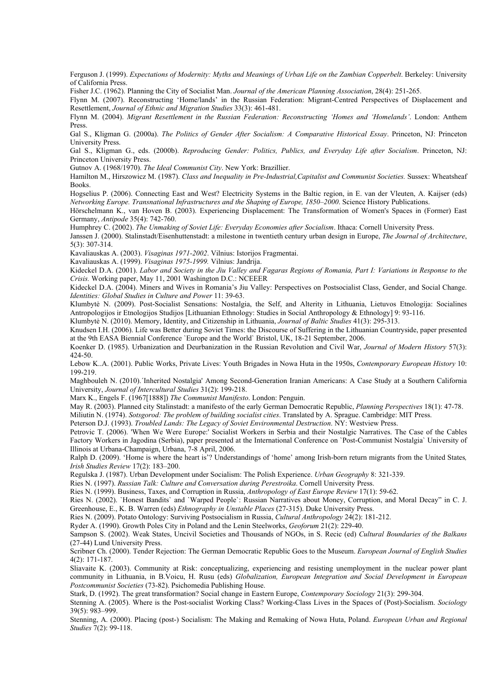Ferguson J. (1999). *Expectations of Modernity: Myths and Meanings of Urban Life on the Zambian Copperbelt*. Berkeley: University of California Press.

Fisher J.C. (1962). Planning the City of Socialist Man. *Journal of the American Planning Association*, 28(4): 251-265.

Flynn M. (2007). Reconstructing 'Home/lands' in the Russian Federation: Migrant-Centred Perspectives of Displacement and Resettlement, *Journal of Ethnic and Migration Studies* 33(3): 461-481.

Flynn M. (2004). *Migrant Resettlement in the Russian Federation: Reconstructing 'Homes and 'Homelands'*. London: Anthem Press.

Gal S., Kligman G. (2000a). *The Politics of Gender After Socialism: A Comparative Historical Essay*. Princeton, NJ: Princeton University Press.

Gal S., Kligman G., eds. (2000b). *Reproducing Gender: Politics, Publics, and Everyday Life after Socialism*. Princeton, NJ: Princeton University Press.

Gutnov A. (1968/1970). *The Ideal Communist City*. New York: Brazillier.

Hamilton M., Hirszowicz M. (1987). *Class and Inequality in Pre-Industrial,Capitalist and Communist Societies.* Sussex: Wheatsheaf Books.

Hogselius P. (2006). Connecting East and West? Electricity Systems in the Baltic region, in E. van der Vleuten, A. Kaijser (eds) *Networking Europe. Transnational Infrastructures and the Shaping of Europe, 1850–2000*. Science History Publications.

Hörschelmann K., van Hoven B. (2003). Experiencing Displacement: The Transformation of Women's Spaces in (Former) East Germany, *Antipode* 35(4): 742-760.

Humphrey C. (2002). *The Unmaking of Soviet Life: Everyday Economies after Socialism*. Ithaca: Cornell University Press.

Janssen J. (2000). Stalinstadt/Eisenhuttenstadt: a milestone in twentieth century urban design in Europe, *The Journal of Architecture*, 5(3): 307-314.

Kavaliauskas A. (2003). *Visaginas 1971-2002*. Vilnius: Istorijos Fragmentai.

Kavaliauskas A. (1999). *Visaginas 1975-1999.* Vilnius: Jandrija.

Kideckel D.A. (2001). *Labor and Society in the Jiu Valley and Fagaras Regions of Romania, Part I: Variations in Response to the Crisis.* Working paper, May 11, 2001 Washington D.C.: NCEEER

Kideckel D.A. (2004). Miners and Wives in Romania's Jiu Valley: Perspectives on Postsocialist Class, Gender, and Social Change. *Identities: Global Studies in Culture and Power* 11: 39-63.

Klumbytė N. (2009). Post-Socialist Sensations: Nostalgia, the Self, and Alterity in Lithuania, Lietuvos Etnologija: Socialines Antropologijos ir Etnologijos Studijos [Lithuanian Ethnology: Studies in Social Anthropology & Ethnology] 9: 93-116.

Klumbytė N. (2010). Memory, Identity, and Citizenship in Lithuania, *Journal of Baltic Studies* 41(3): 295-313.

Knudsen I.H. (2006). Life was Better during Soviet Times: the Discourse of Suffering in the Lithuanian Countryside, paper presented at the 9th EASA Biennial Conference `Europe and the World` Bristol, UK, 18-21 September, 2006.

Koenker D. (1985). Urbanization and Deurbanization in the Russian Revolution and Civil War, *Journal of Modern History* 57(3): 424-50.

Lebow K..A. (2001). Public Works, Private Lives: Youth Brigades in Nowa Huta in the 1950s, *Contemporary European History* 10: 199-219.

Maghbouleh N. (2010).´Inherited Nostalgia' Among Second-Generation Iranian Americans: A Case Study at a Southern California University, *Journal of Intercultural Studies* 31(2): 199-218.

Marx K., Engels F. (1967[1888]) *The Communist Manifesto*. London: Penguin.

May R. (2003). Planned city Stalinstadt: a manifesto of the early German Democratic Republic, *Planning Perspectives* 18(1): 47-78.

Miliutin N. (1974). *Sotsgorod: The problem of building socialist cities*. Translated by A. Sprague. Cambridge: MIT Press.

Peterson D.J. (1993). *Troubled Lands: The Legacy of Soviet Environmental Destruction*. NY: Westview Press.

Petrovic T. (2006). 'When We Were Europe:' Socialist Workers in Serbia and their Nostalgic Narratives. The Case of the Cables Factory Workers in Jagodina (Serbia), paper presented at the International Conference on `Post-Communist Nostalgia` University of Illinois at Urbana-Champaign, Urbana, 7-8 April, 2006.

Ralph D. (2009). 'Home is where the heart is'? Understandings of 'home' among Irish-born return migrants from the United States*, Irish Studies Review* 17(2): 183–200.

Regulska J. (1987). Urban Development under Socialism: The Polish Experience. *Urban Geography* 8: 321-339.

Ries N. (1997). *Russian Talk: Culture and Conversation during Perestroika*. Cornell University Press.

Ries N. (1999). Business, Taxes, and Corruption in Russia, *Anthropology of East Europe Review* 17(1): 59-62.

Ries N. (2002). `Honest Bandits` and `Warped People`: Russian Narratives about Money, Corruption, and Moral Decay" in C. J. Greenhouse, E., K. B. Warren (eds) *Ethnography in Unstable Places* (27-315). Duke University Press.

Ries N. (2009). Potato Ontology: Surviving Postsocialism in Russia, *Cultural Anthropology* 24(2): 181-212.

Ryder A. (1990). Growth Poles City in Poland and the Lenin Steelworks, *Geoforum* 21(2): 229-40.

Sampson S. (2002). Weak States, Uncivil Societies and Thousands of NGOs, in S. Recic (ed) *Cultural Boundaries of the Balkans* (27-44) Lund University Press.

Scribner Ch. (2000). Tender Rejection: The German Democratic Republic Goes to the Museum. *European Journal of English Studies* 4(2): 171-187.

Sliavaite K. (2003). Community at Risk: conceptualizing, experiencing and resisting unemployment in the nuclear power plant community in Lithuania, in B.Voicu, H. Rusu (eds) *Globalization, European Integration and Social Development in European Postcommunist Societies* (73-82). Psichomedia Publishing House.

Stark, D. (1992). The great transformation? Social change in Eastern Europe, *Contemporary Sociology* 21(3): 299-304.

Stenning A. (2005). Where is the Post-socialist Working Class? Working-Class Lives in the Spaces of (Post)-Socialism. *Sociology* 39(5): 983–999.

Stenning, A. (2000). Placing (post-) Socialism: The Making and Remaking of Nowa Huta, Poland. *European Urban and Regional Studies* 7(2): 99-118.